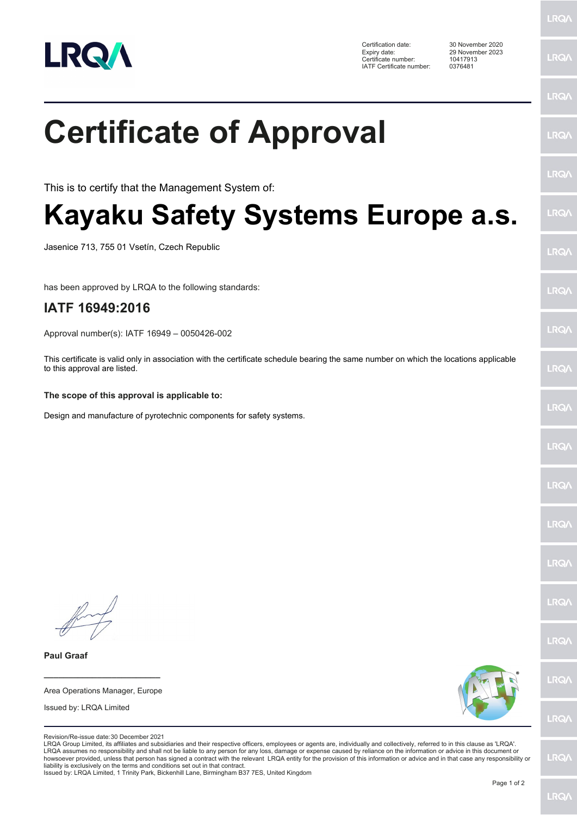

**Certificate of Approval** 

Kayaku Safety Systems Europe a.s.

This certificate is valid only in association with the certificate schedule bearing the same number on which the locations applicable

This is to certify that the Management System of:

Jasenice 713, 755 01 Vsetín, Czech Republic

IATF 16949:2016

to this approval are listed.

has been approved by LRQA to the following standards:

Approval number(s): IATF 16949 - 0050426-002

The scope of this approval is applicable to:

Design and manufacture of pyrotechnic components for safety systems.

Certification date: Expiry date: Certificate number: IATF Certificate number:

29 November 2023 10417913 0376481

30 November 2020

LRQ/

LRQ/

LRQ/

LRQ/

LRQ/

## LRQ/

LRQ/

LRQ/

**LRQA** 

LRQ/

LRQ/

LRQ/

LRQ/

LRQ/

LRQ/

LRQ/

LRQ/

LRQ/

LRQ/

LRQ/

Revision/Re-issue date: 30 December 2021

Area Operations Manager, Europe

Issued by: LRQA Limited

**Paul Graaf** 

LRQA Group Limited, its affiliates and subsidiaries and their respective officers, employees or agents are, individually and collectively, referred to in this clause as 'LRQA'. LRQA assumes no responsibility and shall not be liable to any person for any loss, damage or expense caused by reliance on the information or advice in this document or howsoever provided, unless that person has signed a c liability is exclusively on the terms and conditions set out in that contract

Issued by: LRQA Limited, 1 Trinity Park, Bickenhill Lane, Birmingham B37 7ES, United Kingdom